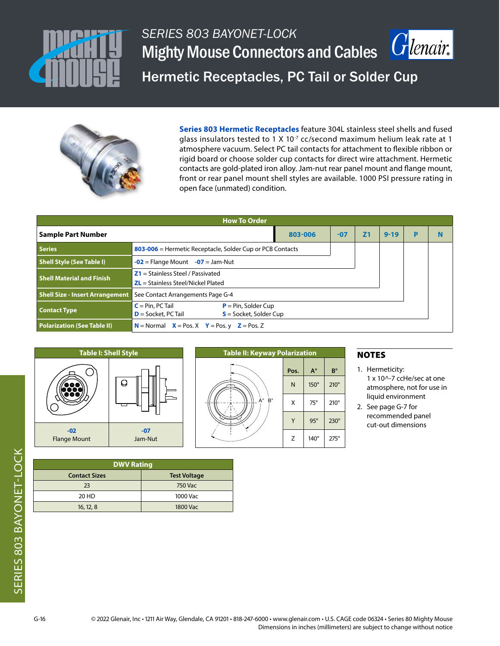

## *SERIES 803 BAYONET-LOCK*  $|G|$ *enair* Mighty Mouse Connectors and Cables Hermetic Receptacles, PC Tail or Solder Cup



**Series 803 Hermetic Receptacles** feature 304L stainless steel shells and fused glass insulators tested to 1 X 10 $<sup>7</sup>$  cc/second maximum helium leak rate at 1</sup> atmosphere vacuum. Select PC tail contacts for attachment to flexible ribbon or rigid board or choose solder cup contacts for direct wire attachment. Hermetic contacts are gold-plated iron alloy. Jam-nut rear panel mount and flange mount, front or rear panel mount shell styles are available. 1000 PSI pressure rating in open face (unmated) condition.

| <b>How To Order</b>                    |                                                                                                    |       |    |          |   |   |  |  |  |  |
|----------------------------------------|----------------------------------------------------------------------------------------------------|-------|----|----------|---|---|--|--|--|--|
| <b>Sample Part Number</b>              | 803-006                                                                                            | $-07$ | 71 | $9 - 19$ | P | N |  |  |  |  |
| <b>Series</b>                          | 803-006 = Hermetic Receptacle, Solder Cup or PCB Contacts                                          |       |    |          |   |   |  |  |  |  |
| <b>Shell Style (See Table I)</b>       | $-02$ = Flange Mount $-07$ = Jam-Nut                                                               |       |    |          |   |   |  |  |  |  |
| <b>Shell Material and Finish</b>       | $Z1 =$ Stainless Steel / Passivated<br>$ZL$ = Stainless Steel/Nickel Plated                        |       |    |          |   |   |  |  |  |  |
| <b>Shell Size - Insert Arrangement</b> | See Contact Arrangements Page G-4                                                                  |       |    |          |   |   |  |  |  |  |
| <b>Contact Type</b>                    | $P = Pin$ , Solder Cup<br>$C = Pin$ , PC Tail<br>$D =$ Socket, PC Tail<br>$S =$ Socket, Solder Cup |       |    |          |   |   |  |  |  |  |
| <b>Polarization (See Table II)</b>     | $N =$ Normal $X =$ Pos. X $Y =$ Pos. y $Z =$ Pos. Z                                                |       |    |          |   |   |  |  |  |  |





### NOTES

- 1. Hermeticity: 1 x 10^-7 ccHe/sec at one atmosphere, not for use in liquid environment
- 2. See page G-7 for recommended panel cut-out dimensions

**DWV Rating Contact Sizes Test Voltage** 23 750 Vac 20 HD 1000 Vac 16, 12, 8 1800 Vac